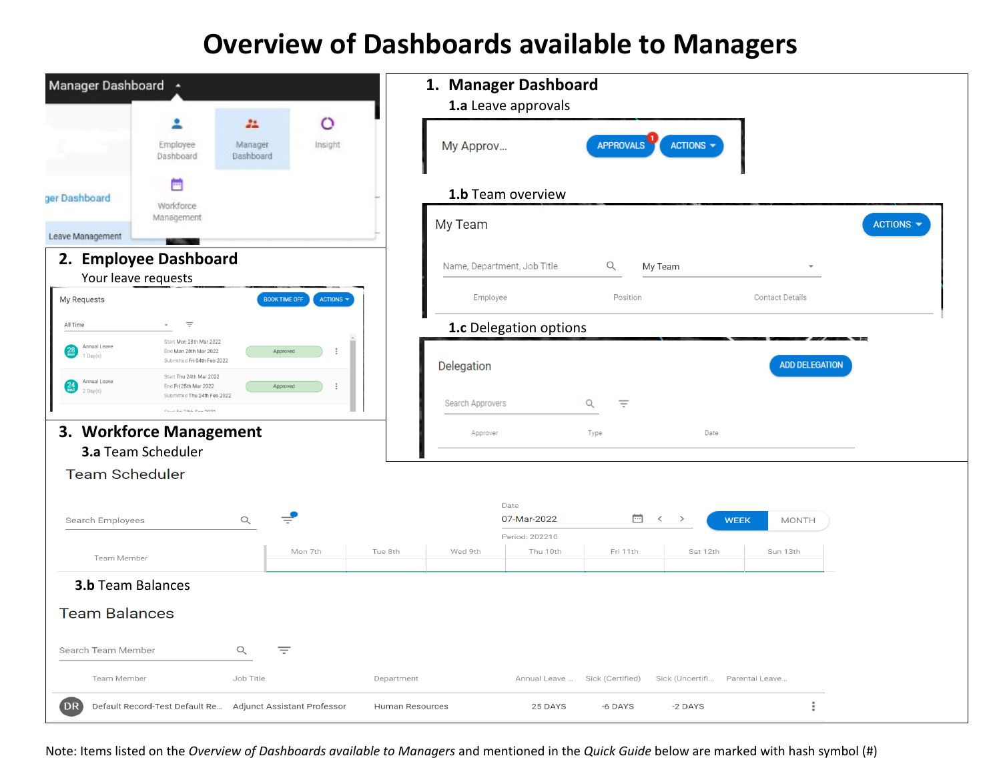## **Overview of Dashboards available to Managers**

| Manager Dashboard +                                                                                                                                   |                                                  |                        |                             | 1. Manager Dashboard   |                  |                              |                             |
|-------------------------------------------------------------------------------------------------------------------------------------------------------|--------------------------------------------------|------------------------|-----------------------------|------------------------|------------------|------------------------------|-----------------------------|
|                                                                                                                                                       |                                                  |                        | 1.a Leave approvals         |                        |                  |                              |                             |
| Employee<br>Dashboard                                                                                                                                 | $\circ$<br>22<br>Manager<br>Insight<br>Dashboard |                        | My Approv                   |                        | <b>APPROVALS</b> | ACTIONS $\blacktriangledown$ |                             |
| E<br>ger Dashboard<br>Workforce                                                                                                                       |                                                  |                        | 1.b Team overview           |                        |                  |                              |                             |
| Management<br>Leave Management                                                                                                                        |                                                  |                        | My Team                     |                        |                  |                              |                             |
| 2. Employee Dashboard                                                                                                                                 |                                                  |                        | Name, Department, Job Title |                        | Q                | My Team                      |                             |
| Your leave requests<br>My Requests                                                                                                                    | <b>BOOK TIME OFF</b><br>ACTIONS -                |                        | Employee                    |                        | Position         |                              | <b>Contact Details</b>      |
| $\equiv$<br>All Time                                                                                                                                  |                                                  |                        |                             | 1.c Delegation options |                  |                              |                             |
| Start Mon 28th Mar 2022<br>Annual Leave<br>$\left(\frac{28}{\text{m/s}}\right)$<br>End Mon 28th Mar 2022<br>$1$ Day(s)<br>Submitted Fri 04th Feb 2022 | Approved                                         |                        | Delegation                  |                        |                  |                              | <b>ADD DELEGATION</b>       |
| Start Thu 24th Mar 2022<br>Annual Leave<br>$\frac{24}{\text{MAR}}$<br>End Fri 25th Mar 2022<br>$2$ Day $(s)$<br>Submitted Thu 24th Feb 2022           | Approved                                         |                        |                             |                        |                  |                              |                             |
| $C+_{\text{out}}$ Eri 9.4th $C_{\text{out}}$ 9091                                                                                                     |                                                  |                        | Search Approvers            |                        | Q<br>Ξ           |                              |                             |
| 3. Workforce Management                                                                                                                               |                                                  |                        | Approver                    |                        | Type             | Date                         |                             |
| 3.a Team Scheduler                                                                                                                                    |                                                  |                        |                             |                        |                  |                              |                             |
| <b>Team Scheduler</b>                                                                                                                                 |                                                  |                        |                             |                        |                  |                              |                             |
| <b>Search Employees</b>                                                                                                                               | $\alpha$                                         |                        | Date                        | 07-Mar-2022            | 茴                | $\prec$<br>$\rightarrow$     | <b>MONTH</b><br><b>WEEK</b> |
|                                                                                                                                                       |                                                  |                        |                             | Period: 202210         |                  |                              |                             |
| Team Member                                                                                                                                           | Mon 7th                                          | Tue 8th                | Wed 9th                     | Thu 10th               | Fri 11th         | Sat 12th                     | Sun 13th                    |
| <b>3.b</b> Team Balances                                                                                                                              |                                                  |                        |                             |                        |                  |                              |                             |
| <b>Team Balances</b>                                                                                                                                  |                                                  |                        |                             |                        |                  |                              |                             |
| Search Team Member                                                                                                                                    | Q<br>₹                                           |                        |                             |                        |                  |                              |                             |
| Team Member                                                                                                                                           | Job Title                                        | Department             |                             | Annual Leave           | Sick (Certified) | Sick (Uncertifi              | Parental Leave              |
| <b>DR</b><br>Default Record-Test Default Re Adjunct Assistant Professor                                                                               |                                                  | <b>Human Resources</b> |                             | 25 DAYS                | -6 DAYS          | -2 DAYS                      |                             |

Note: Items listed on the *Overview of Dashboards available to Managers* and mentioned in the *Quick Guide* below are marked with hash symbol (#)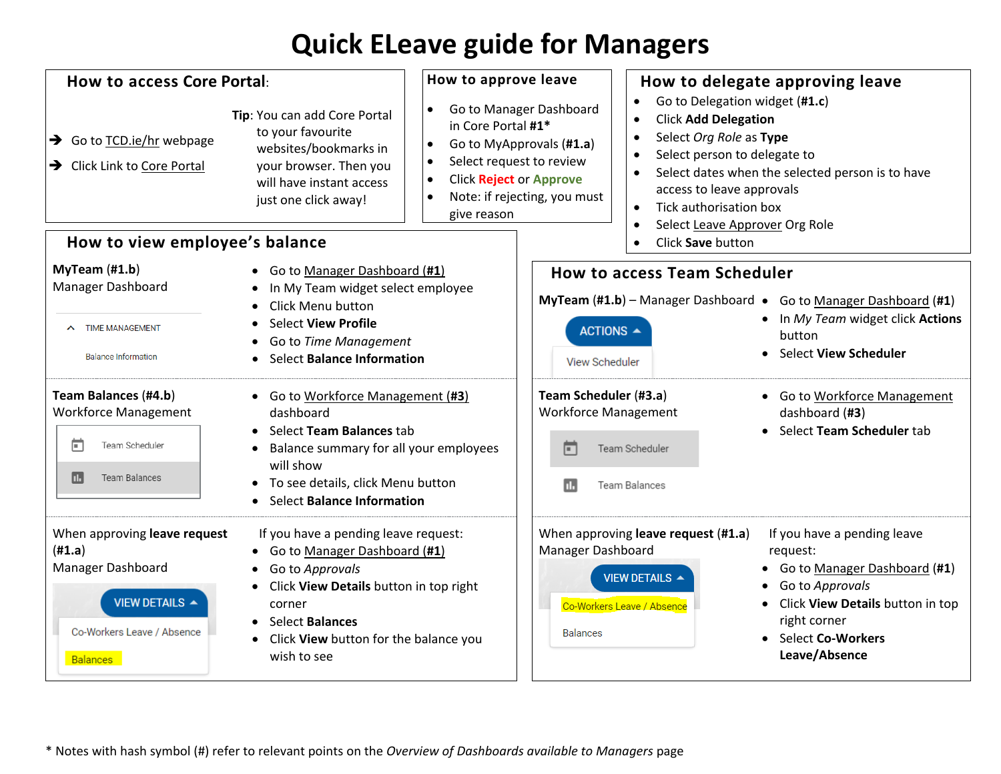## **Quick ELeave guide for Managers**

| How to access Core Portal:<br>Tip: You can add Core Portal<br>to your favourite<br>→ Go to TCD.ie/hr webpage<br>websites/bookmarks in<br>your browser. Then you<br>> Click Link to Core Portal<br>will have instant access<br>just one click away!<br>How to view employee's balance |                                                                                                                                                                                                                          | How to approve leave<br>Go to Manager Dashboard<br>$\bullet$<br>in Core Portal #1*<br>$\bullet$<br>Go to MyApprovals (#1.a)<br>Select request to review<br>$\bullet$<br><b>Click Reject or Approve</b><br>$\bullet$<br>Note: if rejecting, you must<br>$\bullet$<br>give reason |                                                                                                                                      | How to delegate approving leave<br>Go to Delegation widget (#1.c)<br><b>Click Add Delegation</b><br>$\bullet$<br>Select Org Role as Type<br>$\bullet$<br>Select person to delegate to<br>$\bullet$<br>Select dates when the selected person is to have<br>access to leave approvals<br>Tick authorisation box<br>Select Leave Approver Org Role<br>$\bullet$<br>Click Save button<br>$\bullet$ |                                                                                                                                                                                                   |  |
|--------------------------------------------------------------------------------------------------------------------------------------------------------------------------------------------------------------------------------------------------------------------------------------|--------------------------------------------------------------------------------------------------------------------------------------------------------------------------------------------------------------------------|---------------------------------------------------------------------------------------------------------------------------------------------------------------------------------------------------------------------------------------------------------------------------------|--------------------------------------------------------------------------------------------------------------------------------------|------------------------------------------------------------------------------------------------------------------------------------------------------------------------------------------------------------------------------------------------------------------------------------------------------------------------------------------------------------------------------------------------|---------------------------------------------------------------------------------------------------------------------------------------------------------------------------------------------------|--|
| $MyTeam$ (#1.b)<br>Manager Dashboard<br><b>TIME MANAGEMENT</b><br>$\sim$<br><b>Balance Information</b>                                                                                                                                                                               | • Go to Manager Dashboard (#1)<br>In My Team widget select employee<br>Click Menu button<br><b>Select View Profile</b><br>Go to Time Management<br><b>Select Balance Information</b>                                     |                                                                                                                                                                                                                                                                                 | <b>How to access Team Scheduler</b><br><b>MyTeam <math>(H1.b)</math></b> – Manager Dashboard •<br>ACTIONS ▲<br><b>View Scheduler</b> | Go to Manager Dashboard (#1)<br>In My Team widget click Actions<br>button<br><b>Select View Scheduler</b>                                                                                                                                                                                                                                                                                      |                                                                                                                                                                                                   |  |
| Team Balances (#4.b)<br><b>Workforce Management</b><br>п<br>Team Scheduler<br><b>Team Balances</b><br>п.                                                                                                                                                                             | • Go to Workforce Management (#3)<br>dashboard<br>• Select Team Balances tab<br>Balance summary for all your employees<br>will show<br>• To see details, click Menu button<br><b>Select Balance Information</b>          |                                                                                                                                                                                                                                                                                 | Team Scheduler (#3.a)<br><b>Workforce Management</b><br>n<br>п.                                                                      | Team Scheduler<br><b>Team Balances</b>                                                                                                                                                                                                                                                                                                                                                         | Go to Workforce Management<br>$\bullet$<br>dashboard (#3)<br>Select Team Scheduler tab                                                                                                            |  |
| When approving leave request<br>(H1.a)<br>Manager Dashboard<br>VIEW DETAILS ▲<br>Co-Workers Leave / Absence<br><b>Balances</b>                                                                                                                                                       | If you have a pending leave request:<br>Go to Manager Dashboard (#1)<br>Go to Approvals<br>Click View Details button in top right<br>corner<br>• Select Balances<br>Click View button for the balance you<br>wish to see |                                                                                                                                                                                                                                                                                 | Manager Dashboard<br><b>Balances</b>                                                                                                 | When approving leave request (#1.a)<br><b>VIEW DETAILS ▲</b><br>Co-Workers Leave / Absence                                                                                                                                                                                                                                                                                                     | If you have a pending leave<br>request:<br>Go to Manager Dashboard (#1)<br>Go to Approvals<br>Click View Details button in top<br>$\bullet$<br>right corner<br>Select Co-Workers<br>Leave/Absence |  |